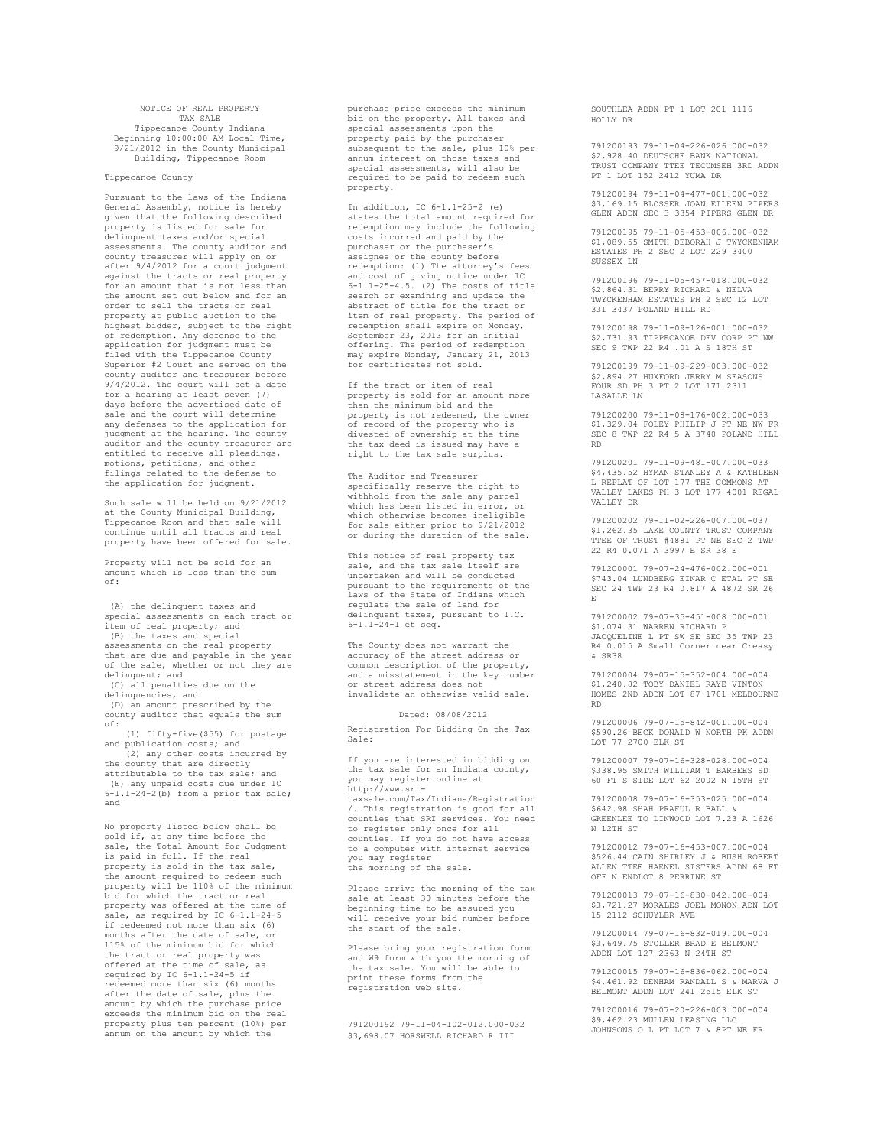## NOTICE OF REAL PROPERTY TAX SALE Tippecanoe County Indiana Beginning 10:00:00 AM Local Time, 9/21/2012 in the County Municipal Building, Tippecanoe Room

## Tippecanoe County

Pursuant to the laws of the Indiana General Assembly, notice is hereby given that the following described property is listed for sale for delinquent taxes and/or special assessments. The county auditor and county treasurer will apply on or after 9/4/2012 for a court judgment against the tracts or real property for an amount that is not less than the amount set out below and for an order to sell the tracts or real property at public auction to the highest bidder, subject to the right of redemption. Any defense to the application for judgment must be filed with the Tippecanoe County Superior #2 Court and served on the county auditor and treasurer before 9/4/2012. The court will set a date for a hearing at least seven (7) days before the advertised date of sale and the court will determine any defenses to the application for judgment at the hearing. The county auditor and the county treasurer are entitled to receive all pleadings, motions, petitions, and other filings related to the defense to the application for judgment.

Such sale will be held on 9/21/2012 at the County Municipal Building, Tippecanoe Room and that sale will continue until all tracts and real property have been offered for sale.

Property will not be sold for an amount which is less than the sum of:

(A) the delinquent taxes and special assessments on each tract or item of real property; and (B) the taxes and special assessments on the real property that are due and payable in the year of the sale, whether or not they are delinquent; and (C) all penalties due on the delinquencies, and (D) an amount prescribed by the county auditor that equals the sum of: (1) fifty-five(\$55) for postage and publication costs; and (2) any other costs incurred by the county that are directly attributable to the tax sale; and (E) any unpaid costs due under IC 6-1.1-24-2(b) from a prior tax sale; and

No property listed below shall be sold if, at any time before the sale, the Total Amount for Judgment is paid in full. If the real property is sold in the tax sale, the amount required to redeem such property will be 110% of the minimum bid for which the tract or real property was offered at the time of sale, as required by IC 6-1.1-24-5 if redeemed not more than six (6) months after the date of sale, or 115% of the minimum bid for which the tract or real property was offered at the time of sale, as required by IC 6-1.1-24-5 if redeemed more than six (6) months after the date of sale, plus the amount by which the purchase price exceeds the minimum bid on the real property plus ten percent (10%) per annum on the amount by which the

purchase price exceeds the minimum bid on the property. All taxes and special assessments upon the property paid by the purchaser subsequent to the sale, plus 10% per annum interest on those taxes and special assessments, will also be required to be paid to redeem such property.

In addition, IC 6-1.1-25-2 (e) states the total amount required for redemption may include the following costs incurred and paid by the purchaser or the purchaser's assignee or the county before redemption: (1) The attorney's fees and cost of giving notice under IC 6-1.1-25-4.5. (2) The costs of title search or examining and update the abstract of title for the tract or item of real property. The period of redemption shall expire on Monday, September 23, 2013 for an initial offering. The period of redemption may expire Monday, January 21, 2013 may explicitionary, concert

If the tract or item of real property is sold for an amount more than the minimum bid and the property is not redeemed, the owner of record of the property who is divested of ownership at the time the tax deed is issued may have a right to the tax sale surplus.

The Auditor and Treasurer specifically reserve the right to withhold from the sale any parcel which has been listed in error, or which otherwise becomes ineligible for sale either prior to 9/21/2012 or during the duration of the sale.

This notice of real property tax sale, and the tax sale itself are undertaken and will be conducted pursuant to the requirements of the laws of the State of Indiana which regulate the sale of land for delinquent taxes, pursuant to I.C. 6-1.1-24-1 et seq.

The County does not warrant the accuracy of the street address or common description of the property, and a misstatement in the key number or street address does not invalidate an otherwise valid sale.

Dated: 08/08/2012 Registration For Bidding On the Tax Sale:

If you are interested in bidding on the tax sale for an Indiana county, you may register online at http://www.sritaxsale.com/Tax/Indiana/Registration /. This registration is good for all counties that SRI services. You need to register only once for all counties. If you do not have access to a computer with internet service

you may register the morning of the sale.

Please arrive the morning of the tax sale at least 30 minutes before the beginning time to be assured you will receive your bid number before the start of the sale.

Please bring your registration form and W9 form with you the morning of the tax sale. You will be able to print these forms from the registration web site.

791200192 79-11-04-102-012.000-032 \$3,698.07 HORSWELL RICHARD R III

SOUTHLEA ADDN PT 1 LOT 201 1116 HOLLY DR

791200193 79-11-04-226-026.000-032 \$2,928.40 DEUTSCHE BANK NATIONAL TRUST COMPANY TTEE TECUMSEH 3RD ADDN PT 1 LOT 152 2412 YUMA DR

791200194 79-11-04-477-001.000-032 \$3,169.15 BLOSSER JOAN EILEEN PIPERS GLEN ADDN SEC 3 3354 PIPERS GLEN DR

791200195 79-11-05-453-006.000-032 \$1,089.55 SMITH DEBORAH J TWYCKENHAM ESTATES PH 2 SEC 2 LOT 229 3400 SUSSEX LN

791200196 79-11-05-457-018.000-032 \$2,864.31 BERRY RICHARD & NELVA TWYCKENHAM ESTATES PH 2 SEC 12 LOT 331 3437 POLAND HILL RD

791200198 79-11-09-126-001.000-032 \$2,731.93 TIPPECANOE DEV CORP PT NW SEC 9 TWP 22 R4 .01 A S 18TH ST

791200199 79-11-09-229-003.000-032 \$2,894.27 HUXFORD JERRY M SEASONS FOUR SD PH 3 PT 2 LOT 171 2311 LASALLE LN

791200200 79-11-08-176-002.000-033 \$1,329.04 FOLEY PHILIP J PT NE NW FR SEC 8 TWP 22 R4 5 A 3740 POLAND HILL RD

791200201 79-11-09-481-007.000-033 \$4,435.52 HYMAN STANLEY A & KATHLEEN L REPLAT OF LOT 177 THE COMMONS AT VALLEY LAKES PH 3 LOT 177 4001 REGAL VALLEY DR

791200202 79-11-02-226-007.000-037 \$1,262.35 LAKE COUNTY TRUST COMPANY TTEE OF TRUST #4881 PT NE SEC 2 TWP 22 R4 0.071 A 3997 E SR 38 E

791200001 79-07-24-476-002.000-001 \$743.04 LUNDBERG EINAR C ETAL PT SE SEC 24 TWP 23 R4 0.817 A 4872 SR 26 E

791200002 79-07-35-451-008.000-001 \$1,074.31 WARREN RICHARD P JACQUELINE L PT SW SE SEC 35 TWP 23 R4 0.015 A Small Corner near Creasy & SR38

791200004 79-07-15-352-004.000-004 \$1,240.82 TOBY DANIEL RAYE VINTON HOMES 2ND ADDN LOT 87 1701 MELBOURNE RD

791200006 79-07-15-842-001.000-004 \$590.26 BECK DONALD W NORTH PK ADDN LOT 77 2700 ELK ST

791200007 79-07-16-328-028.000-004 \$338.95 SMITH WILLIAM T BARBEES SD 60 FT S SIDE LOT 62 2002 N 15TH ST

791200008 79-07-16-353-025.000-004 \$642.98 SHAH PRAFUL R BALL & GREENLEE TO LINWOOD LOT 7.23 A 1626 N 12TH ST

791200012 79-07-16-453-007.000-004 \$526.44 CAIN SHIRLEY J & BUSH ROBERT ALLEN TTEE HAENEL SISTERS ADDN 68 FT OFF N ENDLOT 8 PERRINE ST

791200013 79-07-16-830-042.000-004 \$3,721.27 MORALES JOEL MONON ADN LOT 15 2112 SCHUYLER AVE

791200014 79-07-16-832-019.000-004 \$3,649.75 STOLLER BRAD E BELMONT ADDN LOT 127 2363 N 24TH ST

791200015 79-07-16-836-062.000-004 \$4,461.92 DENHAM RANDALL S & MARVA J BELMONT ADDN LOT 241 2515 ELK ST

791200016 79-07-20-226-003.000-004 \$9,462.23 MULLEN LEASING LLC JOHNSONS O L PT LOT 7 & 8PT NE FR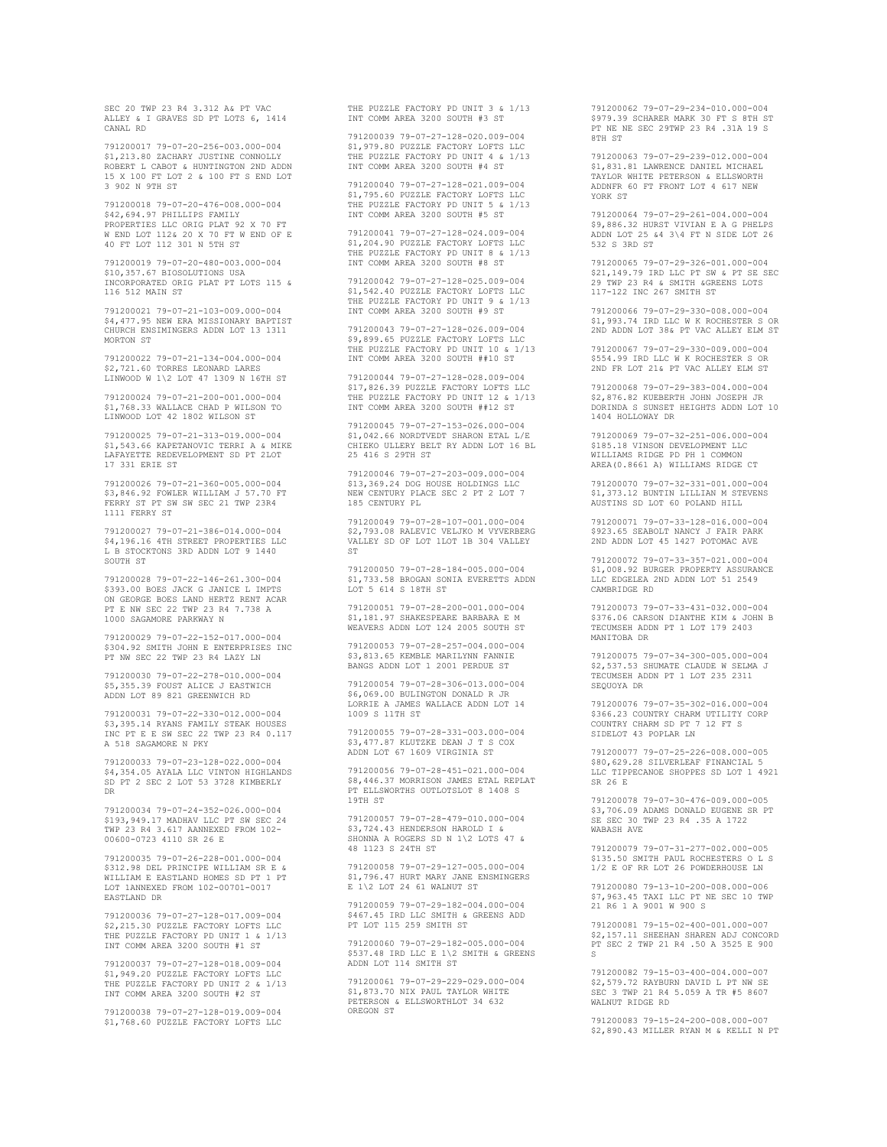SEC 20 TWP 23 R4 3.312 A& PT VAC ALLEY & I GRAVES SD PT LOTS 6, 1414 CANAL RD

791200017 79-07-20-256-003.000-004 \$1,213.80 ZACHARY JUSTINE CONNOLLY ROBERT L CABOT & HUNTINGTON 2ND ADDN 15 X 100 FT LOT 2 & 100 FT S END LOT 3 902 N 9TH ST

791200018 79-07-20-476-008.000-004 \$42,694.97 PHILLIPS FAMILY PROPERTIES LLC ORIG PLAT 92 X 70 FT W END LOT 112& 20 X 70 FT W END OF E 40 FT LOT 112 301 N 5TH ST

791200019 79-07-20-480-003.000-004 \$10,357.67 BIOSOLUTIONS USA INCORPORATED ORIG PLAT PT LOTS 115 & 116 512 MAIN ST

791200021 79-07-21-103-009.000-004 \$4,477.95 NEW ERA MISSIONARY BAPTIST CHURCH ENSIMINGERS ADDN LOT 13 1311 MORTON ST

791200022 79-07-21-134-004.000-004 \$2,721.60 TORRES LEONARD LARES LINWOOD W 1\2 LOT 47 1309 N 16TH ST

791200024 79-07-21-200-001.000-004 \$1,768.33 WALLACE CHAD P WILSON TO LINWOOD LOT 42 1802 WILSON ST

791200025 79-07-21-313-019.000-004 \$1,543.66 KAPETANOVIC TERRI A & MIKE LAFAYETTE REDEVELOPMENT SD PT 2LOT 17 331 ERIE ST

791200026 79-07-21-360-005.000-004 \$3,846.92 FOWLER WILLIAM J 57.70 FT FERRY ST PT SW SW SEC 21 TWP 23R4 1111 FERRY ST

791200027 79-07-21-386-014.000-004 \$4,196.16 4TH STREET PROPERTIES LLC L B STOCKTONS 3RD ADDN LOT 9 1440 SOUTH ST

791200028 79-07-22-146-261.300-004 \$393.00 BOES JACK G JANICE L IMPTS ON GEORGE BOES LAND HERTZ RENT ACAR PT E NW SEC 22 TWP 23 R4 7.738 A 1000 SAGAMORE PARKWAY N

791200029 79-07-22-152-017.000-004 \$304.92 SMITH JOHN E ENTERPRISES INC PT NW SEC 22 TWP 23 R4 LAZY LN

791200030 79-07-22-278-010.000-004 \$5,355.39 FOUST ALICE J EASTWICH ADDN LOT 89 821 GREENWICH RD

791200031 79-07-22-330-012.000-004 \$3,395.14 RYANS FAMILY STEAK HOUSES INC PT E E SW SEC 22 TWP 23 R4 0.117 A 518 SAGAMORE N PKY

791200033 79-07-23-128-022.000-004 \$4,354.05 AYALA LLC VINTON HIGHLANDS SD PT 2 SEC 2 LOT 53 3728 KIMBERLY DR

791200034 79-07-24-352-026.000-004 \$193,949.17 MADHAV LLC PT SW SEC 24 TWP 23 R4 3.617 AANNEXED FROM 102- 00600-0723 4110 SR 26 E

791200035 79-07-26-228-001.000-004 \$312.98 DEL PRINCIPE WILLIAM SR E & WILLIAM E EASTLAND HOMES SD PT 1 PT LOT 1ANNEXED FROM 102-00701-0017 EASTLAND DR

791200036 79-07-27-128-017.009-004 \$2,215.30 PUZZLE FACTORY LOFTS LLC THE PUZZLE FACTORY PD UNIT 1 & 1/13 INT COMM AREA 3200 SOUTH #1 ST

791200037 79-07-27-128-018.009-004 \$1,949.20 PUZZLE FACTORY LOFTS LLC THE PUZZLE FACTORY PD UNIT 2 & 1/13 INT COMM AREA 3200 SOUTH #2 ST

791200038 79-07-27-128-019.009-004 \$1,768.60 PUZZLE FACTORY LOFTS LLC

THE PUZZLE FACTORY PD UNIT 3 & 1/13 INT COMM AREA 3200 SOUTH #3 ST

791200039 79-07-27-128-020.009-004 \$1,979.80 PUZZLE FACTORY LOFTS LLC THE PUZZLE FACTORY PD UNIT 4 & 1/13 INT COMM AREA 3200 SOUTH #4 ST

791200040 79-07-27-128-021.009-004 \$1,795.60 PUZZLE FACTORY LOFTS LLC THE PUZZLE FACTORY PD UNIT 5 & 1/13 INT COMM AREA 3200 SOUTH #5 ST

791200041 79-07-27-128-024.009-004 \$1,204.90 PUZZLE FACTORY LOFTS LLC THE PUZZLE FACTORY PD UNIT 8 & 1/13 INT COMM AREA 3200 SOUTH #8 ST

791200042 79-07-27-128-025.009-004 \$1,542.40 PUZZLE FACTORY LOFTS LLC THE PUZZLE FACTORY PD UNIT 9 & 1/13 INT COMM AREA 3200 SOUTH #9 ST

791200043 79-07-27-128-026.009-004 \$9,899.65 PUZZLE FACTORY LOFTS LLC THE PUZZLE FACTORY PD UNIT 10 & 1/13 INT COMM AREA 3200 SOUTH ##10 ST

791200044 79-07-27-128-028.009-004 \$17,826.39 PUZZLE FACTORY LOFTS LLC THE PUZZLE FACTORY PD UNIT 12 & 1/13 INT COMM AREA 3200 SOUTH ##12 ST

791200045 79-07-27-153-026.000-004 \$1,042.66 NORDTVEDT SHARON ETAL L/E CHIEKO ULLERY BELT RY ADDN LOT 16 BL 25 416 S 29TH ST

791200046 79-07-27-203-009.000-004 \$13,369.24 DOG HOUSE HOLDINGS LLC NEW CENTURY PLACE SEC 2 PT 2 LOT 7 185 CENTURY PL

791200049 79-07-28-107-001.000-004 \$2,793.08 RALEVIC VELJKO M VYVERBERG VALLEY SD OF LOT 1LOT 1B 304 VALLEY ST

791200050 79-07-28-184-005.000-004 \$1,733.58 BROGAN SONTA EVERETTS ADDN LOT 5 614 S 18TH ST

791200051 79-07-28-200-001.000-004 \$1,181.97 SHAKESPEARE BARBARA E M WEAVERS ADDN LOT 124 2005 SOUTH ST

791200053 79-07-28-257-004.000-004 \$3,813.65 KEMBLE MARILYNN FANNIE BANGS ADDN LOT 1 2001 PERDUE ST

791200054 79-07-28-306-013.000-004 \$6,069.00 BULINGTON DONALD R JR LORRIE A JAMES WALLACE ADDN LOT 14 1009 S 11TH ST

791200055 79-07-28-331-003.000-004 \$3,477.87 KLUTZKE DEAN J T S COX ADDN LOT 67 1609 VIRGINIA ST

791200056 79-07-28-451-021.000-004 \$8,446.37 MORRISON JAMES ETAL REPLAT PT ELLSWORTHS OUTLOTSLOT 8 1408 S 19TH ST

791200057 79-07-28-479-010.000-004 \$3,724.43 HENDERSON HAROLD I & SHONNA A ROGERS SD N 1\2 LOTS 47 & 48 1123 S 24TH ST

791200058 79-07-29-127-005.000-004 \$1,796.47 HURT MARY JANE ENSMINGERS E 1\2 LOT 24 61 WALNUT ST

791200059 79-07-29-182-004.000-004 \$467.45 IRD LLC SMITH & GREENS ADD PT LOT 115 259 SMITH ST

791200060 79-07-29-182-005.000-004 \$537.48 IRD LLC E 1\2 SMITH & GREENS ADDN LOT 114 SMITH ST

791200061 79-07-29-229-029.000-004 \$1,873.70 NIX PAUL TAYLOR WHITE PETERSON & ELLSWORTHLOT 34 632 OREGON ST

791200062 79-07-29-234-010.000-004 \$979.39 SCHARER MARK 30 FT S 8TH ST PT NE NE SEC 29TWP 23 R4 .31A 19 S 8TH ST

791200063 79-07-29-239-012.000-004 \$1,831.81 LAWRENCE DANIEL MICHAEL TAYLOR WHITE PETERSON & ELLSWORTH ADDNFR 60 FT FRONT LOT 4 617 NEW YORK ST

791200064 79-07-29-261-004.000-004 \$9,886.32 HURST VIVIAN E A G PHELPS ADDN LOT 25 &4 3\4 FT N SIDE LOT 26 532 S 3RD ST

791200065 79-07-29-326-001.000-004 \$21,149.79 IRD LLC PT SW & PT SE SEC 29 TWP 23 R4 & SMITH &GREENS LOTS 117-122 INC 267 SMITH ST

791200066 79-07-29-330-008.000-004 \$1,993.74 IRD LLC W K ROCHESTER S OR 2ND ADDN LOT 38& PT VAC ALLEY ELM ST

791200067 79-07-29-330-009.000-004 \$554.99 IRD LLC W K ROCHESTER S OR 2ND FR LOT 21& PT VAC ALLEY ELM ST

791200068 79-07-29-383-004.000-004 \$2,876.82 KUEBERTH JOHN JOSEPH JR DORINDA S SUNSET HEIGHTS ADDN LOT 10 1404 HOLLOWAY DR

791200069 79-07-32-251-006.000-004 \$185.18 VINSON DEVELOPMENT LLC WILLIAMS RIDGE PD PH 1 COMMON AREA(0.8661 A) WILLIAMS RIDGE CT

791200070 79-07-32-331-001.000-004 \$1,373.12 BUNTIN LILLIAN M STEVENS AUSTINS SD LOT 60 POLAND HILL

791200071 79-07-33-128-016.000-004 \$923.65 SEABOLT NANCY J FAIR PARK 2ND ADDN LOT 45 1427 POTOMAC AVE

791200072 79-07-33-357-021.000-004 \$1,008.92 BURGER PROPERTY ASSURANCE LLC EDGELEA 2ND ADDN LOT 51 2549 CAMBRIDGE RD

791200073 79-07-33-431-032.000-004 \$376.06 CARSON DIANTHE KIM & JOHN B TECUMSEH ADDN PT 1 LOT 179 2403 MANITOBA DR

791200075 79-07-34-300-005.000-004 \$2,537.53 SHUMATE CLAUDE W SELMA J TECUMSEH ADDN PT 1 LOT 235 2311 SEQUOYA DR

791200076 79-07-35-302-016.000-004 \$366.23 COUNTRY CHARM UTILITY CORP COUNTRY CHARM SD PT 7 12 FT S SIDELOT 43 POPLAR LN

791200077 79-07-25-226-008.000-005 \$80,629.28 SILVERLEAF FINANCIAL 5 LLC TIPPECANOE SHOPPES SD LOT 1 4921 SR 26 E

791200078 79-07-30-476-009.000-005 \$3,706.09 ADAMS DONALD EUGENE SR PT SE SEC 30 TWP 23 R4 .35 A 1722 WABASH AVE

791200079 79-07-31-277-002.000-005 \$135.50 SMITH PAUL ROCHESTERS O L S 1/2 E OF RR LOT 26 POWDERHOUSE LN

791200080 79-13-10-200-008.000-006 \$7,963.45 TAXI LLC PT NE SEC 10 TWP 21 R6 1 A 9001 W 900 S

791200081 79-15-02-400-001.000-007 \$2,157.11 SHEEHAN SHAREN ADJ CONCORD PT SEC 2 TWP 21 R4 .50 A 3525 E 900 S

791200082 79-15-03-400-004.000-007 \$2,579.72 RAYBURN DAVID L PT NW SE SEC 3 TWP 21 R4 5.059 A TR #5 8607 WALNUT RIDGE RD

791200083 79-15-24-200-008.000-007 \$2,890.43 MILLER RYAN M & KELLI N PT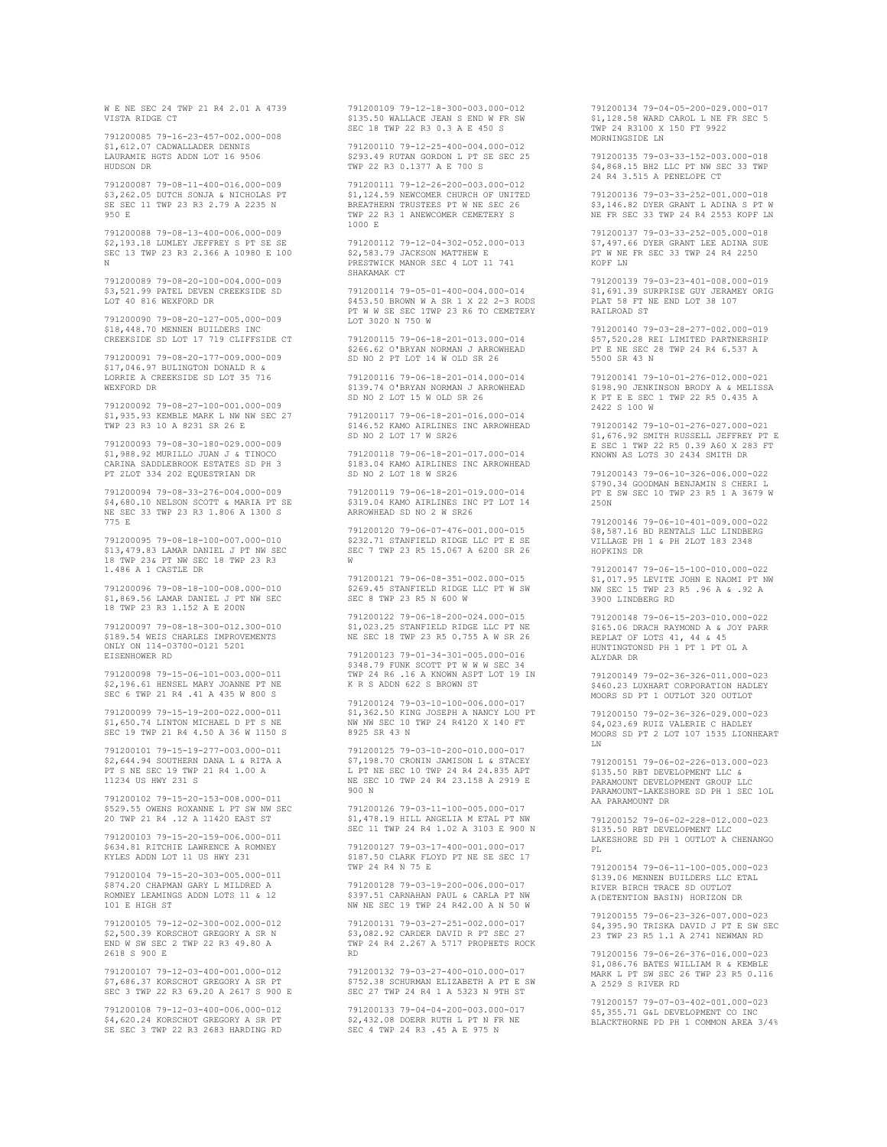W E NE SEC 24 TWP 21 R4 2.01 A 4739 VISTA RIDGE CT

791200085 79-16-23-457-002.000-008 \$1,612.07 CADWALLADER DENNIS LAURAMIE HGTS ADDN LOT 16 9506 HUDSON DR

791200087 79-08-11-400-016.000-009 \$3,262.05 DUTCH SONJA & NICHOLAS PT SE SEC 11 TWP 23 R3 2.79 A 2235 N 950 E

791200088 79-08-13-400-006.000-009 \$2,193.18 LUMLEY JEFFREY S PT SE SE SEC 13 TWP 23 R3 2.366 A 10980 E 100 N

791200089 79-08-20-100-004.000-009 \$3,521.99 PATEL DEVEN CREEKSIDE SD LOT 40 816 WEXFORD DR

791200090 79-08-20-127-005.000-009 \$18,448.70 MENNEN BUILDERS INC CREEKSIDE SD LOT 17 719 CLIFFSIDE CT

791200091 79-08-20-177-009.000-009 \$17,046.97 BULINGTON DONALD R & LORRIE A CREEKSIDE SD LOT 35 716 WEXFORD DR

791200092 79-08-27-100-001.000-009 \$1,935.93 KEMBLE MARK L NW NW SEC 27 TWP 23 R3 10 A 8231 SR 26 E

791200093 79-08-30-180-029.000-009 \$1,988.92 MURILLO JUAN J & TINOCO CARINA SADDLEBROOK ESTATES SD PH 3 PT 2LOT 334 202 EQUESTRIAN DR

791200094 79-08-33-276-004.000-009 \$4,680.10 NELSON SCOTT & MARIA PT SE NE SEC 33 TWP 23 R3 1.806 A 1300 S 775 E

791200095 79-08-18-100-007.000-010 \$13,479.83 LAMAR DANIEL J PT NW SEC 18 TWP 23& PT NW SEC 18 TWP 23 R3 1.486 A 1 CASTLE DR

791200096 79-08-18-100-008.000-010 \$1,869.56 LAMAR DANIEL J PT NW SEC 18 TWP 23 R3 1.152 A E 200N

791200097 79-08-18-300-012.300-010 \$189.54 WEIS CHARLES IMPROVEMENTS ONLY ON 114-03700-0121 5201 EISENHOWER RD

791200098 79-15-06-101-003.000-011 \$2,196.61 HENSEL MARY JOANNE PT NE SEC 6 TWP 21 R4 .41 A 435 W 800 S

791200099 79-15-19-200-022.000-011 \$1,650.74 LINTON MICHAEL D PT S NE SEC 19 TWP 21 R4 4.50 A 36 W 1150 S

791200101 79-15-19-277-003.000-011 \$2,644.94 SOUTHERN DANA L & RITA A PT S NE SEC 19 TWP 21 R4 1.00 A 11234 US HWY 231 S

791200102 79-15-20-153-008.000-011 \$529.55 OWENS ROXANNE L PT SW NW SEC 20 TWP 21 R4 .12 A 11420 EAST ST

791200103 79-15-20-159-006.000-011 \$634.81 RITCHIE LAWRENCE A ROMNEY KYLES ADDN LOT 11 US HWY 231

791200104 79-15-20-303-005.000-011 \$874.20 CHAPMAN GARY L MILDRED A ROMNEY LEAMINGS ADDN LOTS 11 & 12 101 E HIGH ST

791200105 79-12-02-300-002.000-012 \$2,500.39 KORSCHOT GREGORY A SR N END W SW SEC 2 TWP 22 R3 49.80 A 2618 S 900 E

791200107 79-12-03-400-001.000-012 \$7,686.37 KORSCHOT GREGORY A SR PT SEC 3 TWP 22 R3 69.20 A 2617 S 900 E

791200108 79-12-03-400-006.000-012 \$4,620.24 KORSCHOT GREGORY A SR PT SE SEC 3 TWP 22 R3 2683 HARDING RD

791200109 79-12-18-300-003.000-012 \$135.50 WALLACE JEAN S END W FR SW SEC 18 TWP 22 R3 0.3 A E 450 S

791200110 79-12-25-400-004.000-012 \$293.49 RUTAN GORDON L PT SE SEC 25 TWP 22 R3 0.1377 A E 700 S

791200111 79-12-26-200-003.000-012 \$1,124.59 NEWCOMER CHURCH OF UNITED BREATHERN TRUSTEES PT W NE SEC 26 TWP 22 R3 1 ANEWCOMER CEMETERY S 1000 E

791200112 79-12-04-302-052.000-013 \$2,583.79 JACKSON MATTHEW E PRESTWICK MANOR SEC 4 LOT 11 741 SHAKAMAK CT

791200114 79-05-01-400-004.000-014 \$453.50 BROWN W A SR 1 X 22 2-3 RODS PT W W SE SEC 1TWP 23 R6 TO CEMETERY LOT 3020 N 750 W

791200115 79-06-18-201-013.000-014 \$266.62 O'BRYAN NORMAN J ARROWHEAD SD NO 2 PT LOT 14 W OLD SR 26

791200116 79-06-18-201-014.000-014 \$139.74 O'BRYAN NORMAN J ARROWHEAD SD NO 2 LOT 15 W OLD SR 26

791200117 79-06-18-201-016.000-014 \$146.52 KAMO AIRLINES INC ARROWHEAD SD NO 2 LOT 17 W SR26

791200118 79-06-18-201-017.000-014 \$183.04 KAMO AIRLINES INC ARROWHEAD SD NO 2 LOT 18 W SR26

791200119 79-06-18-201-019.000-014 \$319.04 KAMO AIRLINES INC PT LOT 14 ARROWHEAD SD NO 2 W SR26

791200120 79-06-07-476-001.000-015 \$232.71 STANFIELD RIDGE LLC PT E SE SEC 7 TWP 23 R5 15.067 A 6200 SR 26 W

791200121 79-06-08-351-002.000-015 \$269.45 STANFIELD RIDGE LLC PT W SW SEC 8 TWP 23 R5 N 600 W

791200122 79-06-18-200-024.000-015 \$1,023.25 STANFIELD RIDGE LLC PT NE NE SEC 18 TWP 23 R5 0.755 A W SR 26

791200123 79-01-34-301-005.000-016 \$348.79 FUNK SCOTT PT W W W SEC 34 TWP 24 R6 .16 A KNOWN ASPT LOT 19 IN K R S ADDN 622 S BROWN ST

791200124 79-03-10-100-006.000-017 \$1,362.50 KING JOSEPH A NANCY LOU PT NW NW SEC 10 TWP 24 R4120 X 140 FT 8925 SR 43 N

791200125 79-03-10-200-010.000-017 \$7,198.70 CRONIN JAMISON L & STACEY L PT NE SEC 10 TWP 24 R4 24.835 APT NE SEC 10 TWP 24 R4 23.158 A 2919 E 900 N

791200126 79-03-11-100-005.000-017 \$1,478.19 HILL ANGELIA M ETAL PT NW SEC 11 TWP 24 R4 1.02 A 3103 E 900 N

791200127 79-03-17-400-001.000-017 \$187.50 CLARK FLOYD PT NE SE SEC 17 TWP 24 R4 N 75 E

791200128 79-03-19-200-006.000-017 \$397.51 CARNAHAN PAUL & CARLA PT NW NW NE SEC 19 TWP 24 R42.00 A N 50 W

791200131 79-03-27-251-002.000-017 \$3,082.92 CARDER DAVID R PT SEC 27 TWP 24 R4 2.267 A 5717 PROPHETS ROCK RD

791200132 79-03-27-400-010.000-017 \$752.38 SCHURMAN ELIZABETH A PT E SW SEC 27 TWP 24 R4 1 A 5323 N 9TH ST

791200133 79-04-04-200-003.000-017 \$2,432.08 DOERR RUTH L PT N FR NE SEC 4 TWP 24 R3 .45 A E 975 N

791200134 79-04-05-200-029.000-017 \$1,128.58 WARD CAROL L NE FR SEC 5 TWP 24 R3100 X 150 FT 9922 MORNINGSIDE LN

791200135 79-03-33-152-003.000-018 \$4,868.15 BH2 LLC PT NW SEC 33 TWP 24 R4 3.515 A PENELOPE CT

791200136 79-03-33-252-001.000-018 \$3,146.82 DYER GRANT L ADINA S PT W NE FR SEC 33 TWP 24 R4 2553 KOPF LN

791200137 79-03-33-252-005.000-018 \$7,497.66 DYER GRANT LEE ADINA SUE PT W NE FR SEC 33 TWP 24 R4 2250 KOPF LN

791200139 79-03-23-401-008.000-019 \$1,691.39 SURPRISE GUY JERAMEY ORIG PLAT 58 FT NE END LOT 38 107 RATLROAD ST

791200140 79-03-28-277-002.000-019 \$57,520.28 REI LIMITED PARTNERSHIP PT E NE SEC 28 TWP 24 R4 6.537 A 5500 SR 43 N

791200141 79-10-01-276-012.000-021 \$198.90 JENKINSON BRODY A & MELISSA K PT E E SEC 1 TWP 22 R5 0.435 A 2422 S 100 W

791200142 79-10-01-276-027.000-021 \$1,676.92 SMITH RUSSELL JEFFREY PT E E SEC 1 TWP 22 R5 0.39 A60 X 283 FT KNOWN AS LOTS 30 2434 SMITH DR

791200143 79-06-10-326-006.000-022 \$790.34 GOODMAN BENJAMIN S CHERI L PT E SW SEC 10 TWP 23 R5 1 A 3679 W 250N

791200146 79-06-10-401-009.000-022 \$8,587.16 BD RENTALS LLC LINDBERG VILLAGE PH 1 & PH 2LOT 183 2348 HOPKINS DR

791200147 79-06-15-100-010.000-022 \$1,017.95 LEVITE JOHN E NAOMI PT NW NW SEC 15 TWP 23 R5 .96 A & .92 A 3900 LINDBERG RD

791200148 79-06-15-203-010.000-022 \$165.06 DRACH RAYMOND A & JOY PARR REPLAT OF LOTS 41, 44 & 45 HUNTINGTONSD PH 1 PT 1 PT OL A ALYDAR DR

791200149 79-02-36-326-011.000-023 \$460.23 LUXHART CORPORATION HADLEY MOORS SD PT 1 OUTLOT 320 OUTLOT

791200150 79-02-36-326-029.000-023 \$4,023.69 RUIZ VALERIE C HADLEY MOORS SD PT 2 LOT 107 1535 LIONHEART LN

791200151 79-06-02-226-013.000-023 \$135.50 RBT DEVELOPMENT LLC & PARAMOUNT DEVELOPMENT GROUP LLC PARAMOUNT-LAKESHORE SD PH 1 SEC 1OL AA PARAMOUNT DR

791200152 79-06-02-228-012.000-023 \$135.50 RBT DEVELOPMENT LLC LAKESHORE SD PH 1 OUTLOT A CHENANGO PL

791200154 79-06-11-100-005.000-023 \$139.06 MENNEN BUILDERS LLC ETAL RIVER BIRCH TRACE SD OUTLOT A(DETENTION BASIN) HORIZON DR

791200155 79-06-23-326-007.000-023 \$4,395.90 TRISKA DAVID J PT E SW SEC 23 TWP 23 R5 1.1 A 2741 NEWMAN RD

791200156 79-06-26-376-016.000-023 \$1,086.76 BATES WILLIAM R & KEMBLE MARK L PT SW SEC 26 TWP 23 R5 0.116 A 2529 S RIVER RD

791200157 79-07-03-402-001.000-023 \$5,355.71 G&L DEVELOPMENT CO INC BLACKTHORNE PD PH 1 COMMON AREA 3/4%